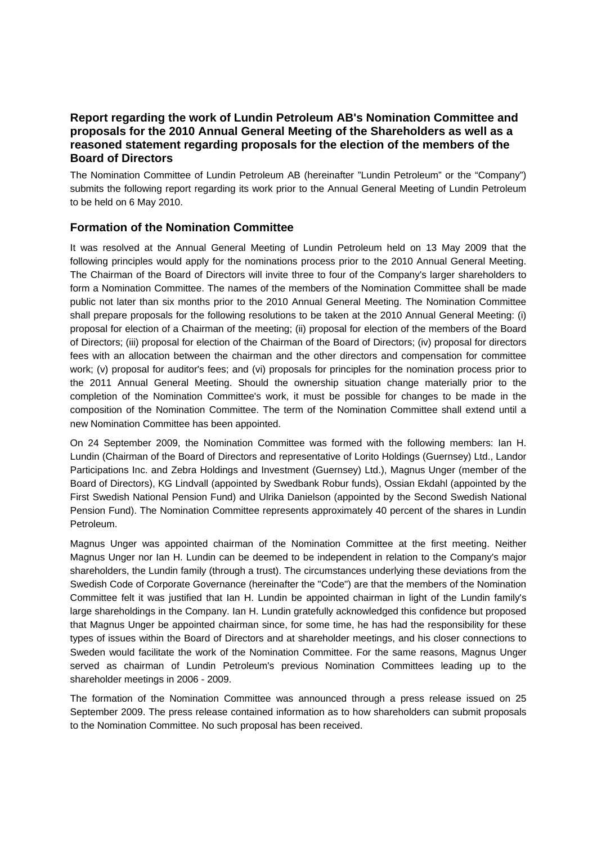# **Report regarding the work of Lundin Petroleum AB's Nomination Committee and proposals for the 2010 Annual General Meeting of the Shareholders as well as a reasoned statement regarding proposals for the election of the members of the Board of Directors**

The Nomination Committee of Lundin Petroleum AB (hereinafter "Lundin Petroleum" or the "Company") submits the following report regarding its work prior to the Annual General Meeting of Lundin Petroleum to be held on 6 May 2010.

# **Formation of the Nomination Committee**

It was resolved at the Annual General Meeting of Lundin Petroleum held on 13 May 2009 that the following principles would apply for the nominations process prior to the 2010 Annual General Meeting. The Chairman of the Board of Directors will invite three to four of the Company's larger shareholders to form a Nomination Committee. The names of the members of the Nomination Committee shall be made public not later than six months prior to the 2010 Annual General Meeting. The Nomination Committee shall prepare proposals for the following resolutions to be taken at the 2010 Annual General Meeting: (i) proposal for election of a Chairman of the meeting; (ii) proposal for election of the members of the Board of Directors; (iii) proposal for election of the Chairman of the Board of Directors; (iv) proposal for directors fees with an allocation between the chairman and the other directors and compensation for committee work; (v) proposal for auditor's fees; and (vi) proposals for principles for the nomination process prior to the 2011 Annual General Meeting. Should the ownership situation change materially prior to the completion of the Nomination Committee's work, it must be possible for changes to be made in the composition of the Nomination Committee. The term of the Nomination Committee shall extend until a new Nomination Committee has been appointed.

On 24 September 2009, the Nomination Committee was formed with the following members: Ian H. Lundin (Chairman of the Board of Directors and representative of Lorito Holdings (Guernsey) Ltd., Landor Participations Inc. and Zebra Holdings and Investment (Guernsey) Ltd.), Magnus Unger (member of the Board of Directors), KG Lindvall (appointed by Swedbank Robur funds), Ossian Ekdahl (appointed by the First Swedish National Pension Fund) and Ulrika Danielson (appointed by the Second Swedish National Pension Fund). The Nomination Committee represents approximately 40 percent of the shares in Lundin Petroleum.

Magnus Unger was appointed chairman of the Nomination Committee at the first meeting. Neither Magnus Unger nor Ian H. Lundin can be deemed to be independent in relation to the Company's major shareholders, the Lundin family (through a trust). The circumstances underlying these deviations from the Swedish Code of Corporate Governance (hereinafter the "Code") are that the members of the Nomination Committee felt it was justified that Ian H. Lundin be appointed chairman in light of the Lundin family's large shareholdings in the Company. Ian H. Lundin gratefully acknowledged this confidence but proposed that Magnus Unger be appointed chairman since, for some time, he has had the responsibility for these types of issues within the Board of Directors and at shareholder meetings, and his closer connections to Sweden would facilitate the work of the Nomination Committee. For the same reasons, Magnus Unger served as chairman of Lundin Petroleum's previous Nomination Committees leading up to the shareholder meetings in 2006 - 2009.

The formation of the Nomination Committee was announced through a press release issued on 25 September 2009. The press release contained information as to how shareholders can submit proposals to the Nomination Committee. No such proposal has been received.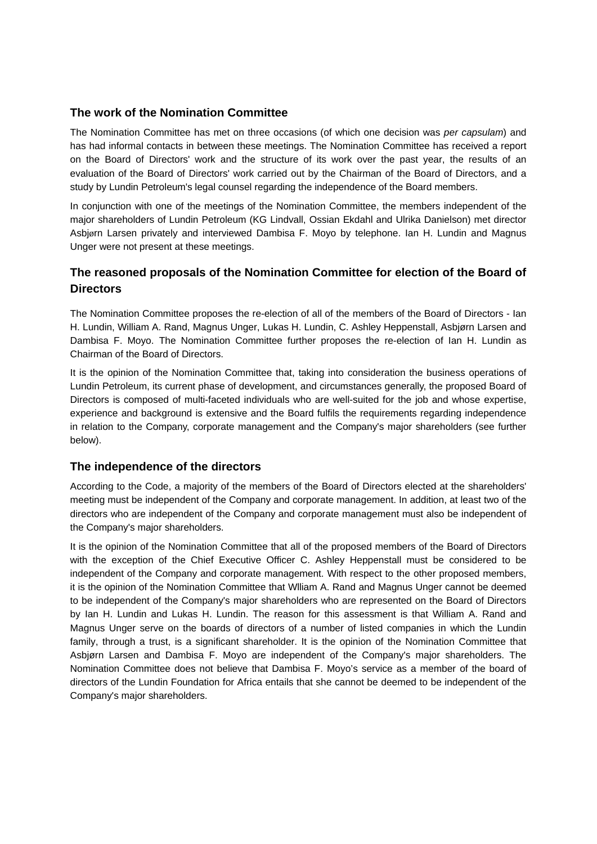# **The work of the Nomination Committee**

The Nomination Committee has met on three occasions (of which one decision was *per capsulam*) and has had informal contacts in between these meetings. The Nomination Committee has received a report on the Board of Directors' work and the structure of its work over the past year, the results of an evaluation of the Board of Directors' work carried out by the Chairman of the Board of Directors, and a study by Lundin Petroleum's legal counsel regarding the independence of the Board members.

In conjunction with one of the meetings of the Nomination Committee, the members independent of the major shareholders of Lundin Petroleum (KG Lindvall, Ossian Ekdahl and Ulrika Danielson) met director Asbjørn Larsen privately and interviewed Dambisa F. Moyo by telephone. Ian H. Lundin and Magnus Unger were not present at these meetings.

# **The reasoned proposals of the Nomination Committee for election of the Board of Directors**

The Nomination Committee proposes the re-election of all of the members of the Board of Directors - Ian H. Lundin, William A. Rand, Magnus Unger, Lukas H. Lundin, C. Ashley Heppenstall, Asbjørn Larsen and Dambisa F. Moyo. The Nomination Committee further proposes the re-election of Ian H. Lundin as Chairman of the Board of Directors.

It is the opinion of the Nomination Committee that, taking into consideration the business operations of Lundin Petroleum, its current phase of development, and circumstances generally, the proposed Board of Directors is composed of multi-faceted individuals who are well-suited for the job and whose expertise, experience and background is extensive and the Board fulfils the requirements regarding independence in relation to the Company, corporate management and the Company's major shareholders (see further below).

### **The independence of the directors**

According to the Code, a majority of the members of the Board of Directors elected at the shareholders' meeting must be independent of the Company and corporate management. In addition, at least two of the directors who are independent of the Company and corporate management must also be independent of the Company's major shareholders.

It is the opinion of the Nomination Committee that all of the proposed members of the Board of Directors with the exception of the Chief Executive Officer C. Ashley Heppenstall must be considered to be independent of the Company and corporate management. With respect to the other proposed members, it is the opinion of the Nomination Committee that Wlliam A. Rand and Magnus Unger cannot be deemed to be independent of the Company's major shareholders who are represented on the Board of Directors by Ian H. Lundin and Lukas H. Lundin. The reason for this assessment is that William A. Rand and Magnus Unger serve on the boards of directors of a number of listed companies in which the Lundin family, through a trust, is a significant shareholder. It is the opinion of the Nomination Committee that Asbjørn Larsen and Dambisa F. Moyo are independent of the Company's major shareholders. The Nomination Committee does not believe that Dambisa F. Moyo's service as a member of the board of directors of the Lundin Foundation for Africa entails that she cannot be deemed to be independent of the Company's major shareholders.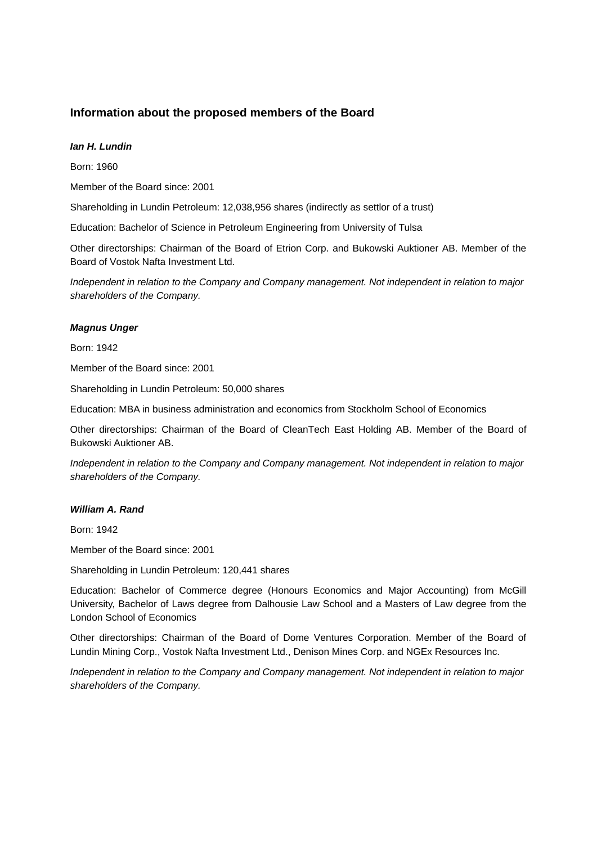## **Information about the proposed members of the Board**

### *Ian H. Lundin*

Born: 1960

Member of the Board since: 2001

Shareholding in Lundin Petroleum: 12,038,956 shares (indirectly as settlor of a trust)

Education: Bachelor of Science in Petroleum Engineering from University of Tulsa

Other directorships: Chairman of the Board of Etrion Corp. and Bukowski Auktioner AB. Member of the Board of Vostok Nafta Investment Ltd.

*Independent in relation to the Company and Company management. Not independent in relation to major shareholders of the Company.* 

#### *Magnus Unger*

Born: 1942

Member of the Board since: 2001

Shareholding in Lundin Petroleum: 50,000 shares

Education: MBA in business administration and economics from Stockholm School of Economics

Other directorships: Chairman of the Board of CleanTech East Holding AB. Member of the Board of Bukowski Auktioner AB.

*Independent in relation to the Company and Company management. Not independent in relation to major shareholders of the Company.* 

#### *William A. Rand*

Born: 1942

Member of the Board since: 2001

Shareholding in Lundin Petroleum: 120,441 shares

Education: Bachelor of Commerce degree (Honours Economics and Major Accounting) from McGill University, Bachelor of Laws degree from Dalhousie Law School and a Masters of Law degree from the London School of Economics

Other directorships: Chairman of the Board of Dome Ventures Corporation. Member of the Board of Lundin Mining Corp., Vostok Nafta Investment Ltd., Denison Mines Corp. and NGEx Resources Inc.

*Independent in relation to the Company and Company management. Not independent in relation to major shareholders of the Company.*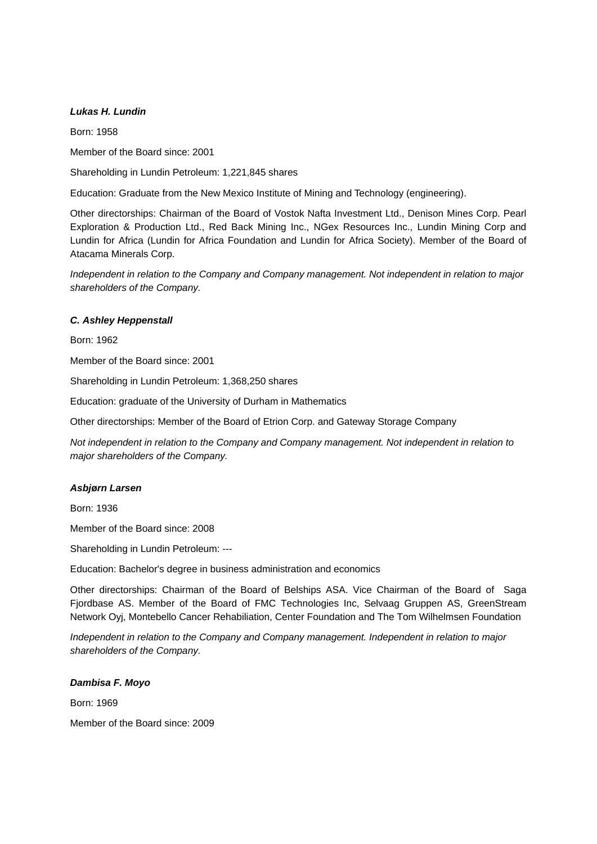### *Lukas H. Lundin*

Born: 1958 Member of the Board since: 2001

Shareholding in Lundin Petroleum: 1,221,845 shares

Education: Graduate from the New Mexico Institute of Mining and Technology (engineering).

Other directorships: Chairman of the Board of Vostok Nafta Investment Ltd., Denison Mines Corp. Pearl Exploration & Production Ltd., Red Back Mining Inc., NGex Resources Inc., Lundin Mining Corp and Lundin for Africa (Lundin for Africa Foundation and Lundin for Africa Society). Member of the Board of Atacama Minerals Corp.

*Independent in relation to the Company and Company management. Not independent in relation to major shareholders of the Company.* 

### *C. Ashley Heppenstall*

Born: 1962

Member of the Board since: 2001

Shareholding in Lundin Petroleum: 1,368,250 shares

Education: graduate of the University of Durham in Mathematics

Other directorships: Member of the Board of Etrion Corp. and Gateway Storage Company

*Not independent in relation to the Company and Company management. Not independent in relation to major shareholders of the Company.* 

#### *Asbj***ø***rn Larsen*

Born: 1936

Member of the Board since: 2008

Shareholding in Lundin Petroleum: ---

Education: Bachelor's degree in business administration and economics

Other directorships: Chairman of the Board of Belships ASA. Vice Chairman of the Board of Saga Fjordbase AS. Member of the Board of FMC Technologies Inc, Selvaag Gruppen AS, GreenStream Network Oyj, Montebello Cancer Rehabiliation, Center Foundation and The Tom Wilhelmsen Foundation

*Independent in relation to the Company and Company management. Independent in relation to major shareholders of the Company.* 

### *Dambisa F. Moyo*

Born: 1969

Member of the Board since: 2009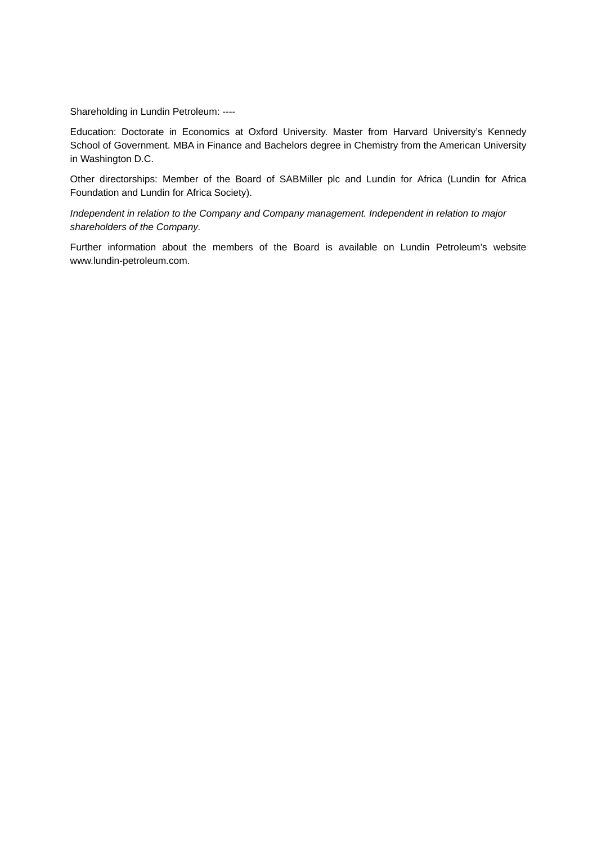Shareholding in Lundin Petroleum: ----

Education: Doctorate in Economics at Oxford University. Master from Harvard University's Kennedy School of Government. MBA in Finance and Bachelors degree in Chemistry from the American University in Washington D.C.

Other directorships: Member of the Board of SABMiller plc and Lundin for Africa (Lundin for Africa Foundation and Lundin for Africa Society).

*Independent in relation to the Company and Company management. Independent in relation to major shareholders of the Company.* 

Further information about the members of the Board is available on Lundin Petroleum's website www.lundin-petroleum.com.